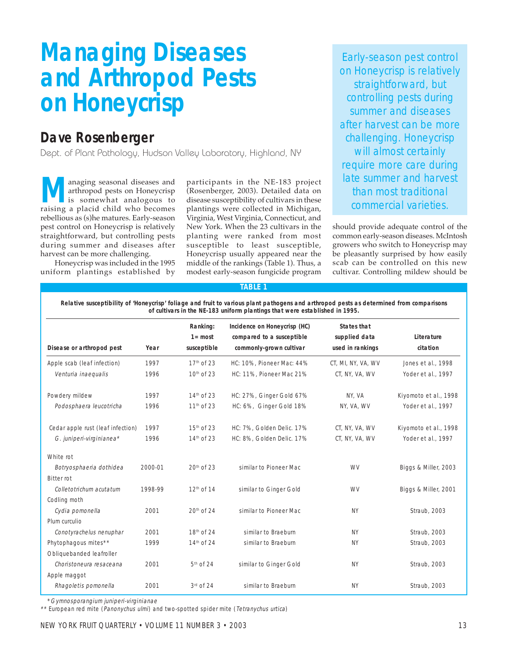# **Managing Diseases and Arthropod Pests on Honeycrisp**

## **Dave Rosenberger**

Dept. of Plant Pathology, Hudson Valley Laboratory, Highland, NY

**A** anaging seasonal diseases and participants in the NE-183 project arthropod pests on Honeycrisp (Rosenberger, 2003). Detailed data on is somewhat analogous to disease susceptibility of cultivars in these raising a placi anaging seasonal diseases and arthropod pests on Honeycrisp is somewhat analogous to raising a placid child who becomes rebellious as (s)he matures. Early-season pest control on Honeycrisp is relatively straightforward, but controlling pests during summer and diseases after harvest can be more challenging.

Honeycrisp was included in the 1995 uniform plantings established by participants in the NE-183 project (Rosenberger, 2003). Detailed data on disease susceptibility of cultivars in these plantings were collected in Michigan, Virginia, West Virginia, Connecticut, and New York. When the 23 cultivars in the planting were ranked from most susceptible to least susceptible, Honeycrisp usually appeared near the middle of the rankings (Table 1). Thus, a modest early-season fungicide program

Early-season pest control on Honeycrisp is relatively straightforward, but controlling pests during summer and diseases after harvest can be more challenging. Honeycrisp will almost certainly require more care during late summer and harvest

should provide adequate control of the common early-season diseases. McIntosh growers who switch to Honeycrisp may be pleasantly surprised by how easily scab can be controlled on this new cultivar. Controlling mildew should be

### **TABLE 1**

**Relative susceptibility of 'Honeycrisp' foliage and fruit to various plant pathogens and arthropod pests as determined from comparisons of cultivars in the NE-183 uniform plantings that were established in 1995.**

| Disease or arthropod pest         | Year    | Ranking:<br>$1 = most$<br>susceptible | Incidence on Honeycrisp (HC)<br>compared to a susceptible<br>commonly-grown cultivar | <b>States that</b><br>supplied data<br>used in rankings | Literature<br>citation |
|-----------------------------------|---------|---------------------------------------|--------------------------------------------------------------------------------------|---------------------------------------------------------|------------------------|
|                                   |         |                                       |                                                                                      |                                                         |                        |
| Apple scab (leaf infection)       | 1997    | $17th$ of 23                          | HC: 10%, Pioneer Mac: 44%                                                            | CT, MI, NY, VA, WV                                      | Jones et al., 1998     |
| Venturia inaequalis               | 1996    | 10 <sup>th</sup> of 23                | HC: 11%, Pioneer Mac 21%                                                             | CT, NY, VA, WV                                          | Yoder et al., 1997     |
| Powdery mildew                    | 1997    | 14 <sup>th</sup> of 23                | HC: 27%, Ginger Gold 67%                                                             | NY, VA                                                  | Kiyomoto et al., 1998  |
| Podosphaera leucotricha           | 1996    | $11th$ of 23                          | HC: 6%, Ginger Gold 18%                                                              | NY, VA, WV                                              | Yoder et al., 1997     |
| Cedar apple rust (leaf infection) | 1997    | 15 <sup>th</sup> of 23                | HC: 7%, Golden Delic. 17%                                                            | CT, NY, VA, WV                                          | Kiyomoto et al., 1998  |
| G. juniperi-virginianea*          | 1996    | 14 <sup>th</sup> of 23                | HC: 8%, Golden Delic. 17%                                                            | CT, NY, VA, WV                                          | Yoder et al., 1997     |
| White rot                         |         |                                       |                                                                                      |                                                         |                        |
| Botryosphaeria dothidea           | 2000-01 | 20 <sup>th</sup> of 23                | similar to Pioneer Mac                                                               | <b>WV</b>                                               | Biggs & Miller, 2003   |
| <b>Bitter rot</b>                 |         |                                       |                                                                                      |                                                         |                        |
| Colletotrichum acutatum           | 1998-99 | 12 <sup>th</sup> of 14                | similar to Ginger Gold                                                               | <b>WV</b>                                               | Biggs & Miller, 2001   |
| Codling moth                      |         |                                       |                                                                                      |                                                         |                        |
| Cydia pomonella                   | 2001    | 20 <sup>th</sup> of 24                | similar to Pioneer Mac                                                               | <b>NY</b>                                               | Straub, 2003           |
| Plum curculio                     |         |                                       |                                                                                      |                                                         |                        |
| Conotyrachelus nenuphar           | 2001    | 18 <sup>th</sup> of 24                | similar to Braeburn                                                                  | <b>NY</b>                                               | Straub, 2003           |
| Phytophagous mites**              | 1999    | $14th$ of 24                          | similar to Braeburn                                                                  | <b>NY</b>                                               | Straub, 2003           |
| Obliquebanded leafroller          |         |                                       |                                                                                      |                                                         |                        |
| Choristoneura resaceana           | 2001    | $5th$ of 24                           | similar to Ginger Gold                                                               | <b>NY</b>                                               | Straub, 2003           |
| Apple maggot                      |         |                                       |                                                                                      |                                                         |                        |
| Rhagoletis pomonella              | 2001    | $3rd$ of 24                           | similar to Braeburn                                                                  | <b>NY</b>                                               | Straub, 2003           |

\*Gymnosporangium juniperi-virginianae

\*\* European red mite (Panonychus ulmi) and two-spotted spider mite (Tetranychus urtica)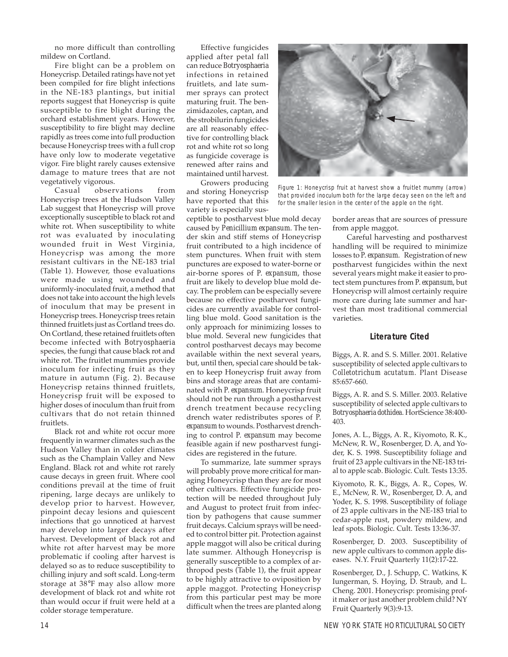no more difficult than controlling mildew on Cortland.

Fire blight can be a problem on Honeycrisp. Detailed ratings have not yet been compiled for fire blight infections in the NE-183 plantings, but initial reports suggest that Honeycrisp is quite susceptible to fire blight during the orchard establishment years. However, susceptibility to fire blight may decline rapidly as trees come into full production because Honeycrisp trees with a full crop have only low to moderate vegetative vigor. Fire blight rarely causes extensive damage to mature trees that are not vegetatively vigorous.

Casual observations from Honeycrisp trees at the Hudson Valley Lab suggest that Honeycrisp will prove exceptionally susceptible to black rot and white rot. When susceptibility to white rot was evaluated by inoculating wounded fruit in West Virginia, Honeycrisp was among the more resistant cultivars in the NE-183 trial (Table 1). However, those evaluations were made using wounded and uniformly-inoculated fruit, a method that does not take into account the high levels of inoculum that may be present in Honeycrisp trees. Honeycrisp trees retain thinned fruitlets just as Cortland trees do. On Cortland, these retained fruitlets often become infected with *Botryosphaeria* species, the fungi that cause black rot and white rot. The fruitlet mummies provide inoculum for infecting fruit as they mature in autumn (Fig. 2). Because Honeycrisp retains thinned fruitlets, Honeycrisp fruit will be exposed to higher doses of inoculum than fruit from cultivars that do not retain thinned fruitlets.

Black rot and white rot occur more frequently in warmer climates such as the Hudson Valley than in colder climates such as the Champlain Valley and New England. Black rot and white rot rarely cause decays in green fruit. Where cool conditions prevail at the time of fruit ripening, large decays are unlikely to develop prior to harvest. However, pinpoint decay lesions and quiescent infections that go unnoticed at harvest may develop into larger decays after harvest. Development of black rot and white rot after harvest may be more problematic if cooling after harvest is delayed so as to reduce susceptibility to chilling injury and soft scald. Long-term storage at 38°F may also allow more development of black rot and white rot than would occur if fruit were held at a colder storage temperature.

Effective fungicides applied after petal fall can reduce *Botryosphaeria* infections in retained fruitlets, and late summer sprays can protect maturing fruit. The benzimidazoles, captan, and the strobilurin fungicides are all reasonably effective for controlling black rot and white rot so long as fungicide coverage is renewed after rains and maintained until harvest.

Growers producing and storing Honeycrisp have reported that this variety is especially sus-

ceptible to postharvest blue mold decay caused by *Penicillium expansum*. The tender skin and stiff stems of Honeycrisp fruit contributed to a high incidence of stem punctures. When fruit with stem punctures are exposed to water-borne or air-borne spores of *P. expansum*, those fruit are likely to develop blue mold decay. The problem can be especially severe because no effective postharvest fungicides are currently available for controlling blue mold. Good sanitation is the only approach for minimizing losses to blue mold. Several new fungicides that control postharvest decays may become available within the next several years, but, until then, special care should be taken to keep Honeycrisp fruit away from bins and storage areas that are contaminated with *P. expansum*. Honeycrisp fruit should not be run through a postharvest drench treatment because recycling drench water redistributes spores of *P. expansum* to wounds. Postharvest drenching to control *P. expansum* may become feasible again if new postharvest fungicides are registered in the future.

To summarize, late summer sprays will probably prove more critical for managing Honeycrisp than they are for most other cultivars. Effective fungicide protection will be needed throughout July and August to protect fruit from infection by pathogens that cause summer fruit decays. Calcium sprays will be needed to control bitter pit. Protection against apple maggot will also be critical during late summer. Although Honeycrisp is generally susceptible to a complex of arthropod pests (Table 1), the fruit appear to be highly attractive to oviposition by apple maggot. Protecting Honeycrisp from this particular pest may be more difficult when the trees are planted along



Figure 1: Honeycrisp fruit at harvest show a fruitlet mummy (arrow) that provided inoculum both for the large decay seen on the left and for the smaller lesion in the center of the apple on the right.

border areas that are sources of pressure from apple maggot.

Careful harvesting and postharvest handling will be required to minimize losses to *P. expansum*. Registration of new postharvest fungicides within the next several years might make it easier to protect stem punctures from *P. expansum*, but Honeycrisp will almost certainly require more care during late summer and harvest than most traditional commercial varieties.

#### **Literature Cited**

Biggs, A. R. and S. S. Miller. 2001. Relative susceptibility of selected apple cultivars to *Colletotrichum acutatum*. Plant Disease 85:657-660.

Biggs, A. R. and S. S. Miller. 2003. Relative susceptibility of selected apple cultivars to *Botryosphaeria dothidea*. HortScience 38:400- 403.

Jones, A. L., Biggs, A. R., Kiyomoto, R. K., McNew, R. W., Rosenberger, D. A, and Yoder, K. S. 1998. Susceptibility foliage and fruit of 23 apple cultivars in the NE-183 trial to apple scab. Biologic. Cult. Tests 13:35.

Kiyomoto, R. K., Biggs, A. R., Copes, W. E., McNew, R. W., Rosenberger, D. A, and Yoder, K. S. 1998. Susceptibility of foliage of 23 apple cultivars in the NE-183 trial to cedar-apple rust, powdery mildew, and leaf spots. Biologic. Cult. Tests 13:36-37.

Rosenberger, D. 2003. Susceptibility of new apple cultivars to common apple diseases. N.Y. Fruit Quarterly 11(2):17-22.

Rosenberger, D., J. Schupp, C. Watkins, K Iungerman, S. Hoying, D. Straub, and L. Cheng. 2001. Honeycrisp: promising profit maker or just another problem child? NY Fruit Quarterly 9(3):9-13.